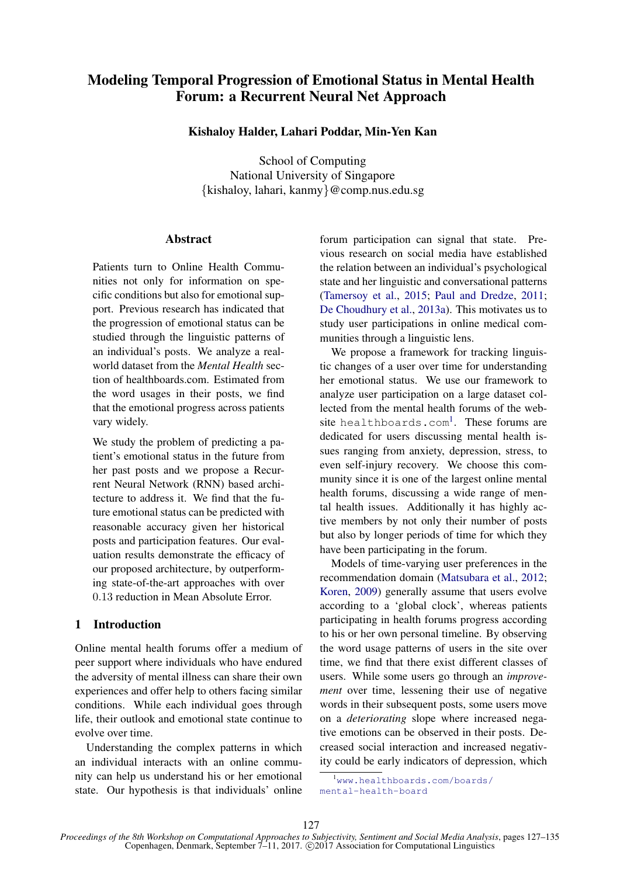# Modeling Temporal Progression of Emotional Status in Mental Health Forum: a Recurrent Neural Net Approach

# Kishaloy Halder, Lahari Poddar, Min-Yen Kan

School of Computing National University of Singapore {kishaloy, lahari, kanmy}@comp.nus.edu.sg

# **Abstract**

Patients turn to Online Health Communities not only for information on specific conditions but also for emotional support. Previous research has indicated that the progression of emotional status can be studied through the linguistic patterns of an individual's posts. We analyze a realworld dataset from the *Mental Health* section of healthboards.com. Estimated from the word usages in their posts, we find that the emotional progress across patients vary widely.

We study the problem of predicting a patient's emotional status in the future from her past posts and we propose a Recurrent Neural Network (RNN) based architecture to address it. We find that the future emotional status can be predicted with reasonable accuracy given her historical posts and participation features. Our evaluation results demonstrate the efficacy of our proposed architecture, by outperforming state-of-the-art approaches with over 0.13 reduction in Mean Absolute Error.

# 1 Introduction

Online mental health forums offer a medium of peer support where individuals who have endured the adversity of mental illness can share their own experiences and offer help to others facing similar conditions. While each individual goes through life, their outlook and emotional state continue to evolve over time.

Understanding the complex patterns in which an individual interacts with an online community can help us understand his or her emotional state. Our hypothesis is that individuals' online

forum participation can signal that state. Previous research on social media have established the relation between an individual's psychological state and her linguistic and conversational patterns (Tamersoy et al., 2015; Paul and Dredze, 2011; De Choudhury et al., 2013a). This motivates us to study user participations in online medical communities through a linguistic lens.

We propose a framework for tracking linguistic changes of a user over time for understanding her emotional status. We use our framework to analyze user participation on a large dataset collected from the mental health forums of the website healthboards.com<sup>1</sup>. These forums are dedicated for users discussing mental health issues ranging from anxiety, depression, stress, to even self-injury recovery. We choose this community since it is one of the largest online mental health forums, discussing a wide range of mental health issues. Additionally it has highly active members by not only their number of posts but also by longer periods of time for which they have been participating in the forum.

Models of time-varying user preferences in the recommendation domain (Matsubara et al., 2012; Koren, 2009) generally assume that users evolve according to a 'global clock', whereas patients participating in health forums progress according to his or her own personal timeline. By observing the word usage patterns of users in the site over time, we find that there exist different classes of users. While some users go through an *improvement* over time, lessening their use of negative words in their subsequent posts, some users move on a *deteriorating* slope where increased negative emotions can be observed in their posts. Decreased social interaction and increased negativity could be early indicators of depression, which

<sup>&</sup>lt;sup>1</sup>www.healthboards.com/boards/ mental-health-board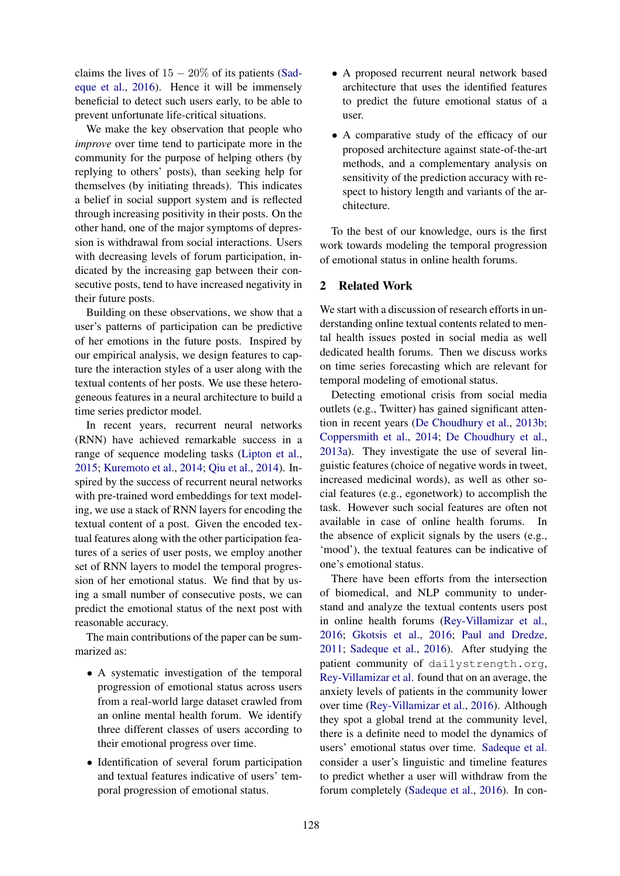claims the lives of  $15 - 20\%$  of its patients (Sadeque et al., 2016). Hence it will be immensely beneficial to detect such users early, to be able to prevent unfortunate life-critical situations.

We make the key observation that people who *improve* over time tend to participate more in the community for the purpose of helping others (by replying to others' posts), than seeking help for themselves (by initiating threads). This indicates a belief in social support system and is reflected through increasing positivity in their posts. On the other hand, one of the major symptoms of depression is withdrawal from social interactions. Users with decreasing levels of forum participation, indicated by the increasing gap between their consecutive posts, tend to have increased negativity in their future posts.

Building on these observations, we show that a user's patterns of participation can be predictive of her emotions in the future posts. Inspired by our empirical analysis, we design features to capture the interaction styles of a user along with the textual contents of her posts. We use these heterogeneous features in a neural architecture to build a time series predictor model.

In recent years, recurrent neural networks (RNN) have achieved remarkable success in a range of sequence modeling tasks (Lipton et al., 2015; Kuremoto et al., 2014; Qiu et al., 2014). Inspired by the success of recurrent neural networks with pre-trained word embeddings for text modeling, we use a stack of RNN layers for encoding the textual content of a post. Given the encoded textual features along with the other participation features of a series of user posts, we employ another set of RNN layers to model the temporal progression of her emotional status. We find that by using a small number of consecutive posts, we can predict the emotional status of the next post with reasonable accuracy.

The main contributions of the paper can be summarized as:

- A systematic investigation of the temporal progression of emotional status across users from a real-world large dataset crawled from an online mental health forum. We identify three different classes of users according to their emotional progress over time.
- Identification of several forum participation and textual features indicative of users' temporal progression of emotional status.
- A proposed recurrent neural network based architecture that uses the identified features to predict the future emotional status of a user.
- A comparative study of the efficacy of our proposed architecture against state-of-the-art methods, and a complementary analysis on sensitivity of the prediction accuracy with respect to history length and variants of the architecture.

To the best of our knowledge, ours is the first work towards modeling the temporal progression of emotional status in online health forums.

# 2 Related Work

We start with a discussion of research efforts in understanding online textual contents related to mental health issues posted in social media as well dedicated health forums. Then we discuss works on time series forecasting which are relevant for temporal modeling of emotional status.

Detecting emotional crisis from social media outlets (e.g., Twitter) has gained significant attention in recent years (De Choudhury et al., 2013b; Coppersmith et al., 2014; De Choudhury et al., 2013a). They investigate the use of several linguistic features (choice of negative words in tweet, increased medicinal words), as well as other social features (e.g., egonetwork) to accomplish the task. However such social features are often not available in case of online health forums. In the absence of explicit signals by the users (e.g., 'mood'), the textual features can be indicative of one's emotional status.

There have been efforts from the intersection of biomedical, and NLP community to understand and analyze the textual contents users post in online health forums (Rey-Villamizar et al., 2016; Gkotsis et al., 2016; Paul and Dredze, 2011; Sadeque et al., 2016). After studying the patient community of dailystrength.org, Rey-Villamizar et al. found that on an average, the anxiety levels of patients in the community lower over time (Rey-Villamizar et al., 2016). Although they spot a global trend at the community level, there is a definite need to model the dynamics of users' emotional status over time. Sadeque et al. consider a user's linguistic and timeline features to predict whether a user will withdraw from the forum completely (Sadeque et al., 2016). In con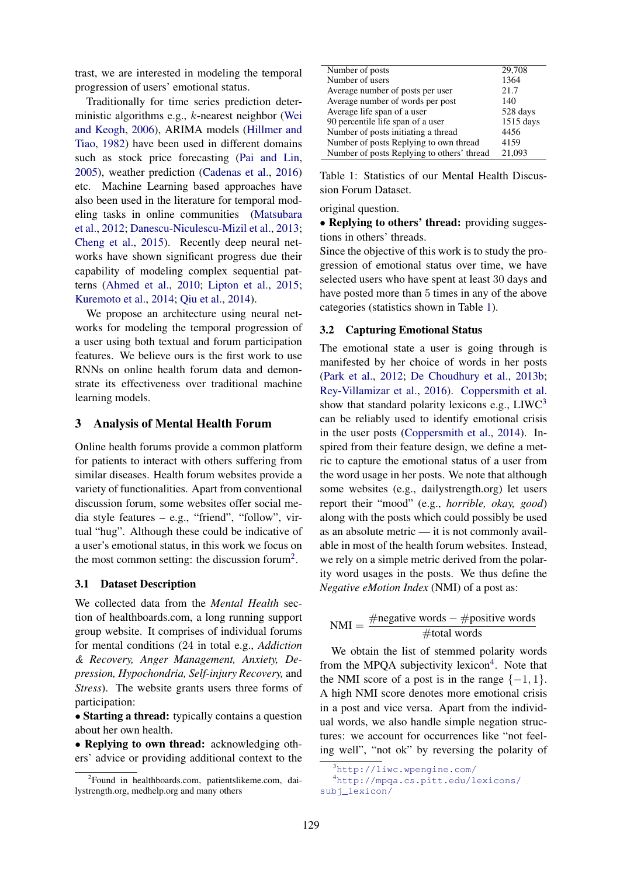trast, we are interested in modeling the temporal progression of users' emotional status.

Traditionally for time series prediction deterministic algorithms e.g., k-nearest neighbor (Wei and Keogh, 2006), ARIMA models (Hillmer and Tiao, 1982) have been used in different domains such as stock price forecasting (Pai and Lin, 2005), weather prediction (Cadenas et al., 2016) etc. Machine Learning based approaches have also been used in the literature for temporal modeling tasks in online communities (Matsubara et al., 2012; Danescu-Niculescu-Mizil et al., 2013; Cheng et al., 2015). Recently deep neural networks have shown significant progress due their capability of modeling complex sequential patterns (Ahmed et al., 2010; Lipton et al., 2015; Kuremoto et al., 2014; Qiu et al., 2014).

We propose an architecture using neural networks for modeling the temporal progression of a user using both textual and forum participation features. We believe ours is the first work to use RNNs on online health forum data and demonstrate its effectiveness over traditional machine learning models.

# 3 Analysis of Mental Health Forum

Online health forums provide a common platform for patients to interact with others suffering from similar diseases. Health forum websites provide a variety of functionalities. Apart from conventional discussion forum, some websites offer social media style features – e.g., "friend", "follow", virtual "hug". Although these could be indicative of a user's emotional status, in this work we focus on the most common setting: the discussion forum<sup>2</sup>.

#### 3.1 Dataset Description

We collected data from the *Mental Health* section of healthboards.com, a long running support group website. It comprises of individual forums for mental conditions (24 in total e.g., *Addiction & Recovery, Anger Management, Anxiety, Depression, Hypochondria, Self-injury Recovery,* and *Stress*). The website grants users three forms of participation:

• Starting a thread: typically contains a question about her own health.

• Replying to own thread: acknowledging others' advice or providing additional context to the

| Number of posts                            | 29,708    |
|--------------------------------------------|-----------|
| Number of users                            | 1364      |
| Average number of posts per user           | 21.7      |
| Average number of words per post           | 140       |
| Average life span of a user                | 528 days  |
| 90 percentile life span of a user          | 1515 days |
| Number of posts initiating a thread        | 4456      |
| Number of posts Replying to own thread     | 4159      |
| Number of posts Replying to others' thread | 21.093    |

Table 1: Statistics of our Mental Health Discussion Forum Dataset.

original question.

• Replying to others' thread: providing suggestions in others' threads.

Since the objective of this work is to study the progression of emotional status over time, we have selected users who have spent at least 30 days and have posted more than 5 times in any of the above categories (statistics shown in Table 1).

#### 3.2 Capturing Emotional Status

The emotional state a user is going through is manifested by her choice of words in her posts (Park et al., 2012; De Choudhury et al., 2013b; Rey-Villamizar et al., 2016). Coppersmith et al. show that standard polarity lexicons e.g.,  $L I W C<sup>3</sup>$ can be reliably used to identify emotional crisis in the user posts (Coppersmith et al., 2014). Inspired from their feature design, we define a metric to capture the emotional status of a user from the word usage in her posts. We note that although some websites (e.g., dailystrength.org) let users report their "mood" (e.g., *horrible, okay, good*) along with the posts which could possibly be used as an absolute metric — it is not commonly available in most of the health forum websites. Instead, we rely on a simple metric derived from the polarity word usages in the posts. We thus define the *Negative eMotion Index* (NMI) of a post as:

$$
NMI = \frac{\#negative words - \#positive words}{\#total words}
$$

We obtain the list of stemmed polarity words from the MPQA subjectivity lexicon<sup>4</sup>. Note that the NMI score of a post is in the range  $\{-1, 1\}$ . A high NMI score denotes more emotional crisis in a post and vice versa. Apart from the individual words, we also handle simple negation structures: we account for occurrences like "not feeling well", "not ok" by reversing the polarity of

<sup>2</sup> Found in healthboards.com, patientslikeme.com, dailystrength.org, medhelp.org and many others

<sup>3</sup>http://liwc.wpengine.com/

<sup>4</sup>http://mpqa.cs.pitt.edu/lexicons/ subj\_lexicon/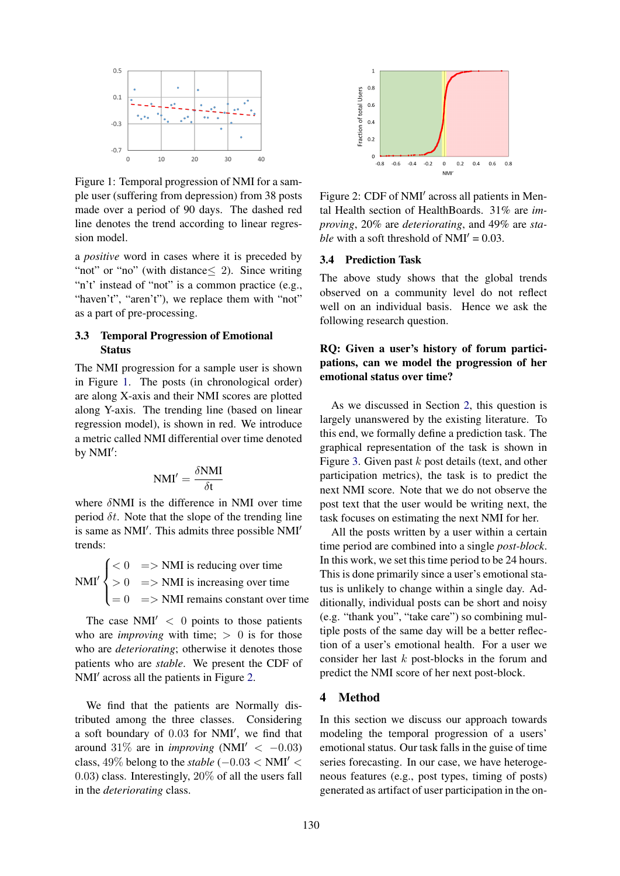

Figure 1: Temporal progression of NMI for a sample user (suffering from depression) from 38 posts made over a period of 90 days. The dashed red line denotes the trend according to linear regression model.

a *positive* word in cases where it is preceded by "not" or "no" (with distance  $\leq$  2). Since writing "n't' instead of "not" is a common practice (e.g., "haven't", "aren't"), we replace them with "not" as a part of pre-processing.

# 3.3 Temporal Progression of Emotional **Status**

The NMI progression for a sample user is shown in Figure 1. The posts (in chronological order) are along X-axis and their NMI scores are plotted along Y-axis. The trending line (based on linear regression model), is shown in red. We introduce a metric called NMI differential over time denoted by NMI':

$$
NMI' = \frac{\delta NMI}{\delta t}
$$

where  $\delta$ NMI is the difference in NMI over time period  $\delta t$ . Note that the slope of the trending line is same as NMI'. This admits three possible NMI' trends:

 $NMI'$  $\sqrt{ }$  $\int$  $\overline{1}$  $< 0$  = > NMI is reducing over time  $> 0$  = > NMI is increasing over time  $= 0 \implies$  NMI remains constant over time

The case  $NMI' < 0$  points to those patients who are *improving* with time;  $> 0$  is for those who are *deteriorating*; otherwise it denotes those patients who are *stable*. We present the CDF of NMI' across all the patients in Figure 2.

We find that the patients are Normally distributed among the three classes. Considering a soft boundary of 0.03 for NMI', we find that around 31% are in *improving* (NMI<sup> $\prime$ </sup> < -0.03) class,  $49\%$  belong to the *stable* ( $-0.03 < NMI' <$ 0.03) class. Interestingly, 20% of all the users fall in the *deteriorating* class.



Figure 2: CDF of NMI' across all patients in Mental Health section of HealthBoards. 31% are *improving*, 20% are *deteriorating*, and 49% are *stable* with a soft threshold of  $NMI' = 0.03$ .

#### 3.4 Prediction Task

The above study shows that the global trends observed on a community level do not reflect well on an individual basis. Hence we ask the following research question.

# RQ: Given a user's history of forum participations, can we model the progression of her emotional status over time?

As we discussed in Section 2, this question is largely unanswered by the existing literature. To this end, we formally define a prediction task. The graphical representation of the task is shown in Figure 3. Given past  $k$  post details (text, and other participation metrics), the task is to predict the next NMI score. Note that we do not observe the post text that the user would be writing next, the task focuses on estimating the next NMI for her.

All the posts written by a user within a certain time period are combined into a single *post-block*. In this work, we set this time period to be 24 hours. This is done primarily since a user's emotional status is unlikely to change within a single day. Additionally, individual posts can be short and noisy (e.g. "thank you", "take care") so combining multiple posts of the same day will be a better reflection of a user's emotional health. For a user we consider her last  $k$  post-blocks in the forum and predict the NMI score of her next post-block.

# 4 Method

In this section we discuss our approach towards modeling the temporal progression of a users' emotional status. Our task falls in the guise of time series forecasting. In our case, we have heterogeneous features (e.g., post types, timing of posts) generated as artifact of user participation in the on-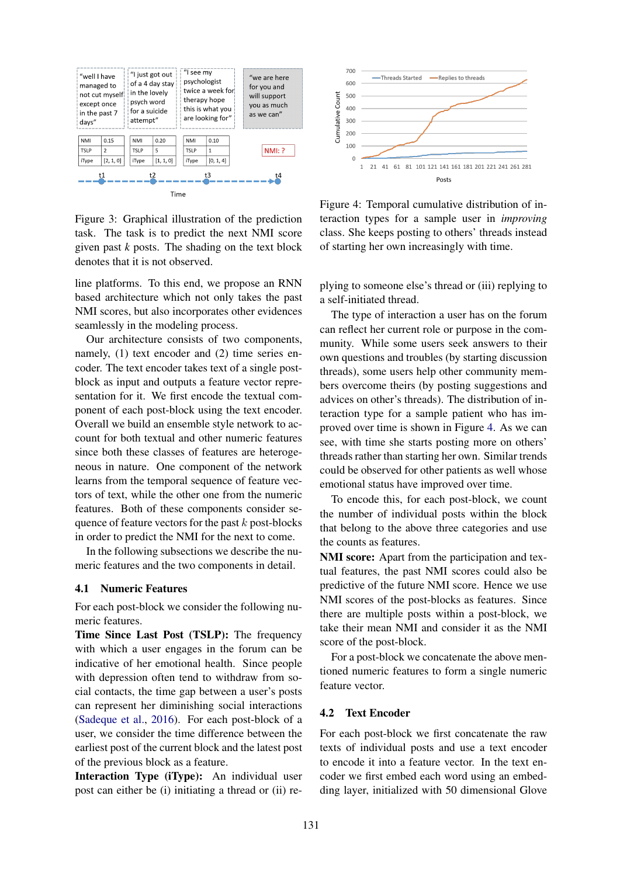

Figure 3: Graphical illustration of the prediction task. The task is to predict the next NMI score given past *k* posts. The shading on the text block denotes that it is not observed.

line platforms. To this end, we propose an RNN based architecture which not only takes the past NMI scores, but also incorporates other evidences seamlessly in the modeling process.

Our architecture consists of two components, namely, (1) text encoder and (2) time series encoder. The text encoder takes text of a single postblock as input and outputs a feature vector representation for it. We first encode the textual component of each post-block using the text encoder. Overall we build an ensemble style network to account for both textual and other numeric features since both these classes of features are heterogeneous in nature. One component of the network learns from the temporal sequence of feature vectors of text, while the other one from the numeric features. Both of these components consider sequence of feature vectors for the past  $k$  post-blocks in order to predict the NMI for the next to come.

In the following subsections we describe the numeric features and the two components in detail.

#### 4.1 Numeric Features

For each post-block we consider the following numeric features.

Time Since Last Post (TSLP): The frequency with which a user engages in the forum can be indicative of her emotional health. Since people with depression often tend to withdraw from social contacts, the time gap between a user's posts can represent her diminishing social interactions (Sadeque et al., 2016). For each post-block of a user, we consider the time difference between the earliest post of the current block and the latest post of the previous block as a feature.

Interaction Type (iType): An individual user post can either be (i) initiating a thread or (ii) re-



Figure 4: Temporal cumulative distribution of interaction types for a sample user in *improving* class. She keeps posting to others' threads instead of starting her own increasingly with time.

plying to someone else's thread or (iii) replying to a self-initiated thread.

The type of interaction a user has on the forum can reflect her current role or purpose in the community. While some users seek answers to their own questions and troubles (by starting discussion threads), some users help other community members overcome theirs (by posting suggestions and advices on other's threads). The distribution of interaction type for a sample patient who has improved over time is shown in Figure 4. As we can see, with time she starts posting more on others' threads rather than starting her own. Similar trends could be observed for other patients as well whose emotional status have improved over time.

To encode this, for each post-block, we count the number of individual posts within the block that belong to the above three categories and use the counts as features.

NMI score: Apart from the participation and textual features, the past NMI scores could also be predictive of the future NMI score. Hence we use NMI scores of the post-blocks as features. Since there are multiple posts within a post-block, we take their mean NMI and consider it as the NMI score of the post-block.

For a post-block we concatenate the above mentioned numeric features to form a single numeric feature vector.

## 4.2 Text Encoder

For each post-block we first concatenate the raw texts of individual posts and use a text encoder to encode it into a feature vector. In the text encoder we first embed each word using an embedding layer, initialized with 50 dimensional Glove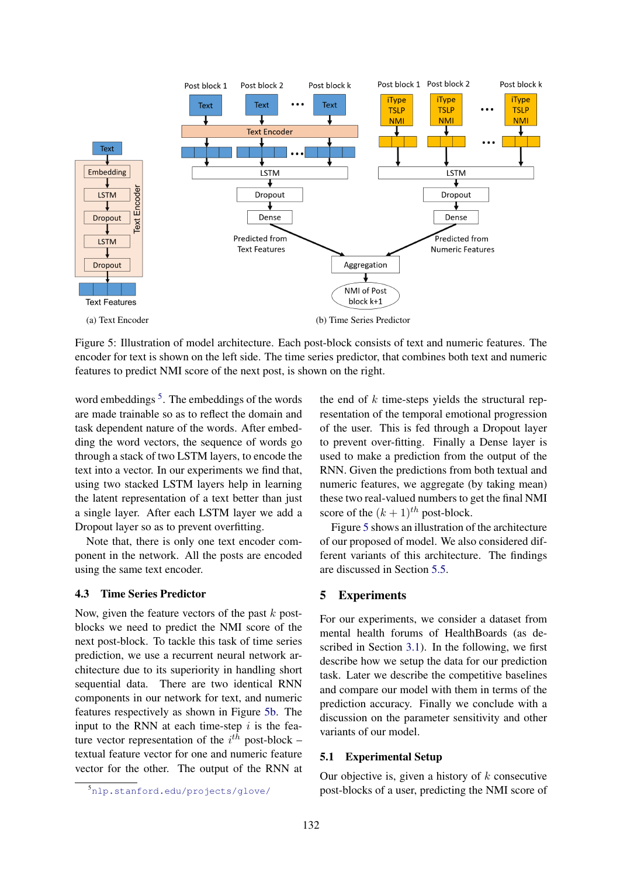

Figure 5: Illustration of model architecture. Each post-block consists of text and numeric features. The encoder for text is shown on the left side. The time series predictor, that combines both text and numeric features to predict NMI score of the next post, is shown on the right.

word embeddings <sup>5</sup>. The embeddings of the words are made trainable so as to reflect the domain and task dependent nature of the words. After embedding the word vectors, the sequence of words go through a stack of two LSTM layers, to encode the text into a vector. In our experiments we find that, using two stacked LSTM layers help in learning the latent representation of a text better than just a single layer. After each LSTM layer we add a Dropout layer so as to prevent overfitting.

Note that, there is only one text encoder component in the network. All the posts are encoded using the same text encoder.

#### 4.3 Time Series Predictor

Now, given the feature vectors of the past  $k$  postblocks we need to predict the NMI score of the next post-block. To tackle this task of time series prediction, we use a recurrent neural network architecture due to its superiority in handling short sequential data. There are two identical RNN components in our network for text, and numeric features respectively as shown in Figure 5b. The input to the RNN at each time-step  $i$  is the feature vector representation of the  $i^{th}$  post-block – textual feature vector for one and numeric feature vector for the other. The output of the RNN at the end of  $k$  time-steps yields the structural representation of the temporal emotional progression of the user. This is fed through a Dropout layer to prevent over-fitting. Finally a Dense layer is used to make a prediction from the output of the RNN. Given the predictions from both textual and numeric features, we aggregate (by taking mean) these two real-valued numbers to get the final NMI score of the  $(k+1)$ <sup>th</sup> post-block.

Figure 5 shows an illustration of the architecture of our proposed of model. We also considered different variants of this architecture. The findings are discussed in Section 5.5.

## 5 Experiments

For our experiments, we consider a dataset from mental health forums of HealthBoards (as described in Section 3.1). In the following, we first describe how we setup the data for our prediction task. Later we describe the competitive baselines and compare our model with them in terms of the prediction accuracy. Finally we conclude with a discussion on the parameter sensitivity and other variants of our model.

## 5.1 Experimental Setup

Our objective is, given a history of  $k$  consecutive post-blocks of a user, predicting the NMI score of

<sup>5</sup>nlp.stanford.edu/projects/glove/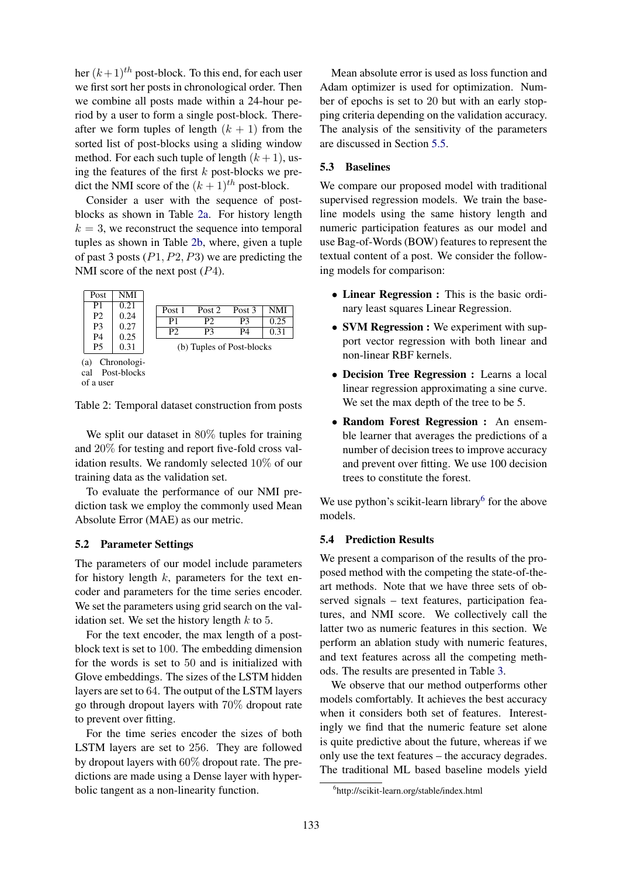her  $(k+1)$ <sup>th</sup> post-block. To this end, for each user we first sort her posts in chronological order. Then we combine all posts made within a 24-hour period by a user to form a single post-block. Thereafter we form tuples of length  $(k + 1)$  from the sorted list of post-blocks using a sliding window method. For each such tuple of length  $(k + 1)$ , using the features of the first  $k$  post-blocks we predict the NMI score of the  $(k + 1)^{th}$  post-block.

Consider a user with the sequence of postblocks as shown in Table 2a. For history length  $k = 3$ , we reconstruct the sequence into temporal tuples as shown in Table 2b, where, given a tuple of past 3 posts  $(P1, P2, P3)$  we are predicting the NMI score of the next post  $(P4)$ .

| Post                 | NMI          |                           |                |        |        |            |
|----------------------|--------------|---------------------------|----------------|--------|--------|------------|
| P1                   | 0.21         |                           | Post 1         | Post 2 | Post 3 | <b>NMI</b> |
| P <sub>2</sub>       | 0.24         |                           | P1             | P2     | P3     | 0.25       |
| P3<br>P <sub>4</sub> | 0.27<br>0.25 |                           | P <sub>2</sub> | P3     | P4     | 0.31       |
| <b>P5</b>            | 0.31         | (b) Tuples of Post-blocks |                |        |        |            |
| Chronologi-<br>(a)   |              |                           |                |        |        |            |

cal Post-blocks

of a user

Table 2: Temporal dataset construction from posts

We split our dataset in 80% tuples for training and 20% for testing and report five-fold cross validation results. We randomly selected 10% of our training data as the validation set.

To evaluate the performance of our NMI prediction task we employ the commonly used Mean Absolute Error (MAE) as our metric.

#### 5.2 Parameter Settings

The parameters of our model include parameters for history length  $k$ , parameters for the text encoder and parameters for the time series encoder. We set the parameters using grid search on the validation set. We set the history length  $k$  to 5.

For the text encoder, the max length of a postblock text is set to 100. The embedding dimension for the words is set to 50 and is initialized with Glove embeddings. The sizes of the LSTM hidden layers are set to 64. The output of the LSTM layers go through dropout layers with 70% dropout rate to prevent over fitting.

For the time series encoder the sizes of both LSTM layers are set to 256. They are followed by dropout layers with 60% dropout rate. The predictions are made using a Dense layer with hyperbolic tangent as a non-linearity function.

Mean absolute error is used as loss function and Adam optimizer is used for optimization. Number of epochs is set to 20 but with an early stopping criteria depending on the validation accuracy. The analysis of the sensitivity of the parameters are discussed in Section 5.5.

# 5.3 Baselines

We compare our proposed model with traditional supervised regression models. We train the baseline models using the same history length and numeric participation features as our model and use Bag-of-Words (BOW) features to represent the textual content of a post. We consider the following models for comparison:

- Linear Regression : This is the basic ordinary least squares Linear Regression.
- **SVM Regression :** We experiment with support vector regression with both linear and non-linear RBF kernels.
- Decision Tree Regression : Learns a local linear regression approximating a sine curve. We set the max depth of the tree to be 5.
- Random Forest Regression : An ensemble learner that averages the predictions of a number of decision trees to improve accuracy and prevent over fitting. We use 100 decision trees to constitute the forest.

We use python's scikit-learn library<sup>6</sup> for the above models.

## 5.4 Prediction Results

We present a comparison of the results of the proposed method with the competing the state-of-theart methods. Note that we have three sets of observed signals – text features, participation features, and NMI score. We collectively call the latter two as numeric features in this section. We perform an ablation study with numeric features, and text features across all the competing methods. The results are presented in Table 3.

We observe that our method outperforms other models comfortably. It achieves the best accuracy when it considers both set of features. Interestingly we find that the numeric feature set alone is quite predictive about the future, whereas if we only use the text features – the accuracy degrades. The traditional ML based baseline models yield

<sup>6</sup> http://scikit-learn.org/stable/index.html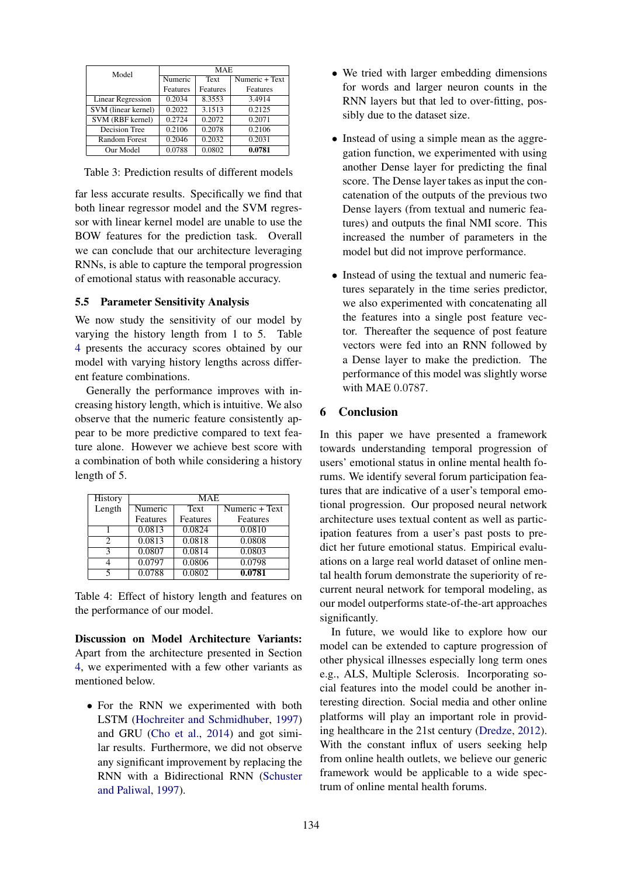| Model               | <b>MAE</b>      |                 |                 |
|---------------------|-----------------|-----------------|-----------------|
|                     | Numeric         | Text            | Numeric + Text  |
|                     | <b>Features</b> | <b>Features</b> | <b>Features</b> |
| Linear Regression   | 0.2034          | 8.3553          | 3.4914          |
| SVM (linear kernel) | 0.2022          | 3.1513          | 0.2125          |
| SVM (RBF kernel)    | 0.2724          | 0.2072          | 0.2071          |
| Decision Tree       | 0.2106          | 0.2078          | 0.2106          |
| Random Forest       | 0.2046          | 0.2032          | 0.2031          |
| Our Model           | 0.0788          | 0.0802          | 0.0781          |

Table 3: Prediction results of different models

far less accurate results. Specifically we find that both linear regressor model and the SVM regressor with linear kernel model are unable to use the BOW features for the prediction task. Overall we can conclude that our architecture leveraging RNNs, is able to capture the temporal progression of emotional status with reasonable accuracy.

# 5.5 Parameter Sensitivity Analysis

We now study the sensitivity of our model by varying the history length from 1 to 5. Table 4 presents the accuracy scores obtained by our model with varying history lengths across different feature combinations.

Generally the performance improves with increasing history length, which is intuitive. We also observe that the numeric feature consistently appear to be more predictive compared to text feature alone. However we achieve best score with a combination of both while considering a history length of 5.

| History | MAE.     |          |                |  |  |  |
|---------|----------|----------|----------------|--|--|--|
| Length  | Numeric  | Text     | Numeric + Text |  |  |  |
|         | Features | Features | Features       |  |  |  |
|         | 0.0813   | 0.0824   | 0.0810         |  |  |  |
| 2       | 0.0813   | 0.0818   | 0.0808         |  |  |  |
| 2       | 0.0807   | 0.0814   | 0.0803         |  |  |  |
|         | 0.0797   | 0.0806   | 0.0798         |  |  |  |
| 5       | 0.0788   | 0.0802   | 0.0781         |  |  |  |

Table 4: Effect of history length and features on the performance of our model.

Discussion on Model Architecture Variants: Apart from the architecture presented in Section 4, we experimented with a few other variants as mentioned below.

• For the RNN we experimented with both LSTM (Hochreiter and Schmidhuber, 1997) and GRU (Cho et al., 2014) and got similar results. Furthermore, we did not observe any significant improvement by replacing the RNN with a Bidirectional RNN (Schuster and Paliwal, 1997).

- We tried with larger embedding dimensions for words and larger neuron counts in the RNN layers but that led to over-fitting, possibly due to the dataset size.
- Instead of using a simple mean as the aggregation function, we experimented with using another Dense layer for predicting the final score. The Dense layer takes as input the concatenation of the outputs of the previous two Dense layers (from textual and numeric features) and outputs the final NMI score. This increased the number of parameters in the model but did not improve performance.
- Instead of using the textual and numeric features separately in the time series predictor, we also experimented with concatenating all the features into a single post feature vector. Thereafter the sequence of post feature vectors were fed into an RNN followed by a Dense layer to make the prediction. The performance of this model was slightly worse with MAE 0.0787.

# 6 Conclusion

In this paper we have presented a framework towards understanding temporal progression of users' emotional status in online mental health forums. We identify several forum participation features that are indicative of a user's temporal emotional progression. Our proposed neural network architecture uses textual content as well as participation features from a user's past posts to predict her future emotional status. Empirical evaluations on a large real world dataset of online mental health forum demonstrate the superiority of recurrent neural network for temporal modeling, as our model outperforms state-of-the-art approaches significantly.

In future, we would like to explore how our model can be extended to capture progression of other physical illnesses especially long term ones e.g., ALS, Multiple Sclerosis. Incorporating social features into the model could be another interesting direction. Social media and other online platforms will play an important role in providing healthcare in the 21st century (Dredze, 2012). With the constant influx of users seeking help from online health outlets, we believe our generic framework would be applicable to a wide spectrum of online mental health forums.